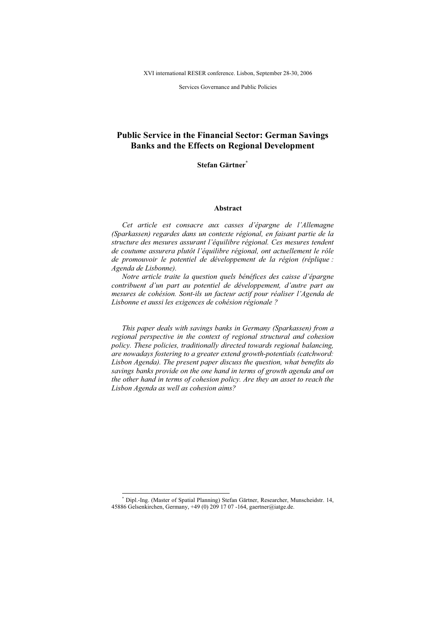Services Governance and Public Policies

# Public Service in the Financial Sector: German Savings Banks and the Effects on Regional Development

Stefan Gärtner \*

## Abstract

Cet article est consacre aux casses d'épargne de l'Allemagne (Sparkassen) regardes dans un contexte régional, en faisant partie de la structure des mesures assurant l'équilibre régional.Ces mesures tendent de coutume assurera plutôt l'équilibre régional, ont actuellement le rôle de promouvoir le potentiel de développement de la région (réplique : Agenda de Lisbonne).

Notre article traite la question quels bénéfices des caisse d'épargne contribuent d'un part au potentiel de développement, d'autre part au mesures de cohésion. Sont-ils un facteur actif pour réaliser l'Agenda de Lisbonne et aussi les exigences de cohésion régionale ?

This paper deals with savings banks in Germany (Sparkassen) from a regional perspective in the context of regional structural and cohesion policy. These policies, traditionally directed towards regional balancing, are nowadays fostering to a greater extend growth-potentials (catchword: Lisbon Agenda). The present paper discuss the question, what benefits do savings banks provide on the one hand in terms of growth agenda and on the other hand in terms of cohesion policy. Are they an asset to reach the Lisbon Agenda as well as cohesion aims?

<sup>\*</sup> Dipl.-Ing. (Master of Spatial Planning) Stefan Gärtner, Researcher, Munscheidstr. 14, 45886 Gelsenkirchen, Germany, +49(0)2091707-164, gaertner@iatge.de.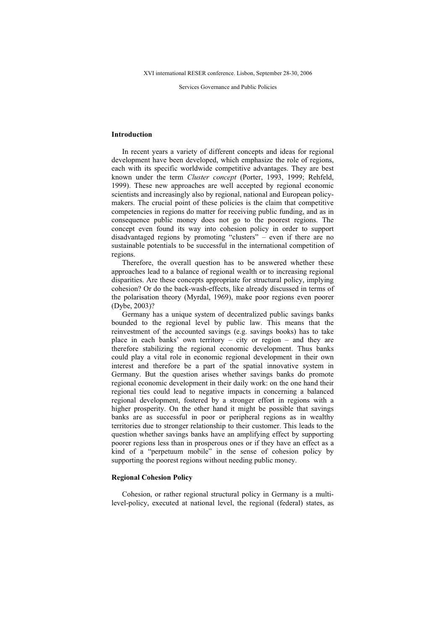Services Governance and Public Policies

## Introduction

In recent years a variety of different concepts and ideas for regional development have been developed, which emphasize the role of regions, each with its specific worldwide competitive advantages. They are best known under the term Cluster concept (Porter, 1993, 1999; Rehfeld, 1999). These new approaches are well accepted by regional economic scientists and increasingly also by regional, national and European policymakers. The crucial point of these policies is the claim that competitive competencies in regions do matter for receiving public funding, and as in consequence public money does not go to the poorest regions. The concept even found its way into cohesion policy in order to support disadvantaged regions by promoting "clusters"– even if there are no sustainable potentials to be successful in the international competition of regions.

Therefore, the overall question has to be answered whether these approaches lead to a balance of regional wealth or to increasing regional disparities. Are these concepts appropriate for structural policy, implying cohesion?Or do the back-wash-effects, like already discussed in terms of the polarisation theory (Myrdal, 1969), make poor regions even poorer (Dybe, 2003)?

Germany has a unique system of decentralized public savings banks bounded to the regional level by public law. This means that the reinvestment of the accounted savings (e.g. savings books) has to take place in each banks'own territory – city or region – and they are therefore stabilizing the regional economic development. Thus banks could play a vital role in economic regional development in their own interest and therefore be a part of the spatial innovative system in Germany. But the question arises whether savings banks do promote regional economic development in their daily work: on the one hand their regional ties could lead to negative impacts in concerning a balanced regional development, fostered by a stronger effort in regions with a higher prosperity. On the other hand it might be possible that savings banks are as successful in poor or peripheral regions as in wealthy territories due to stronger relationship to their customer. This leads to the question whether savings banks have an amplifying effect by supporting poorer regions less than in prosperous ones or if they have an effect as a kind of a "perpetuum mobile" in the sense of cohesion policy by supporting the poorest regions without needing public money.

## Regional Cohesion Policy

Cohesion, or rather regional structural policy in Germany is a multilevel-policy, executed at national level, the regional (federal) states, as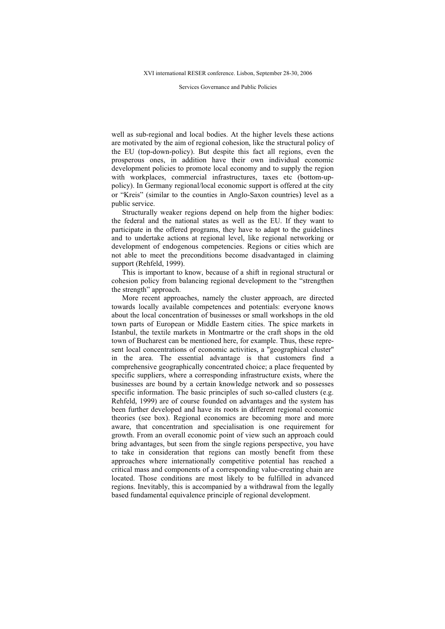Services Governance and Public Policies

well as sub-regional and local bodies. At the higher levels these actions are motivated by the aim of regional cohesion, like the structural policy of the EU (top-down-policy). But despite this fact all regions, even the prosperous ones, in addition have their own individual economic development policies to promote local economy and to supply the region with workplaces, commercial infrastructures, taxes etc (bottom-uppolicy). In Germany regional/local economic support is offered at the city or "Kreis" (similar to the counties in Anglo-Saxon countries) level as a public service.

Structurally weaker regions depend on help from the higher bodies: the federal and the national states as well as the EU. If they want to participate in the offered programs, they have to adapt to the guidelines and to undertake actions at regional level, like regional networking or development of endogenous competencies. Regions or cities which are not able to meet the preconditions become disadvantaged in claiming support (Rehfeld, 1999).

This is important to know, because of a shift in regional structural or cohesion policy from balancing regional development to the "strengthen the strength" approach.

More recent approaches, namely the cluster approach, are directed towards locally available competences and potentials: everyone knows about the local concentration of businesses or small workshops in the old town parts of European or Middle Eastern cities. The spice markets in Istanbul, the textile markets in Montmartre or the craft shops in the old town of Bucharest can be mentioned here, for example. Thus, these represent local concentrations of economic activities, a "geographical cluster'' in the area. The essential advantage is that customers find a comprehensive geographically concentrated choice; a place frequented by specific suppliers, where a corresponding infrastructure exists, where the businesses are bound by a certain knowledge network and so possesses specific information. The basic principles of such so-called clusters (e.g. Rehfeld, 1999) are of course founded on advantages and the system has been further developed and have its roots in different regional economic theories (see box). Regional economics are becoming more and more aware, that concentration and specialisation is one requirement for growth. From an overall economic point of view such an approach could bring advantages, but seen from the single regions perspective, you have to take in consideration that regions can mostly benefit from these approaches where internationally competitive potential has reached a critical mass and components of a corresponding value-creating chain are located. Those conditions are most likely to be fulfilled in advanced regions. Inevitably, this is accompanied by a withdrawal from the legally based fundamental equivalence principle of regional development.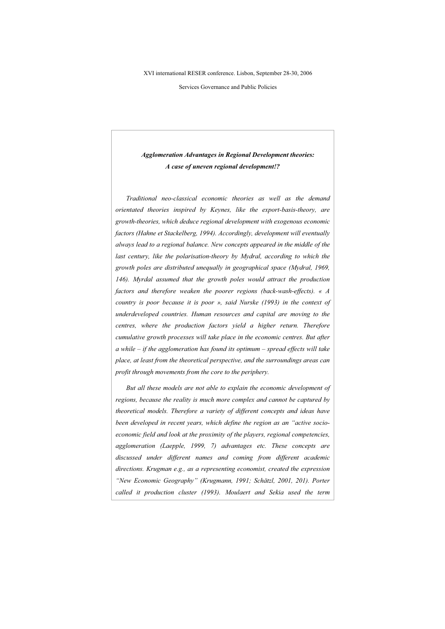Services Governance and Public Policies

# Agglomeration Advantages in Regional Development theories: A case of uneven regional development!?

Traditional neo-classical economic theories as well as the demand orientated theories inspired by Keynes, like the export-basis-theory, are growth-theories, which deduce regional development with exogenous economic factors (Hahne et Stackelberg, 1994). Accordingly, development will eventually always lead to a regional balance. New concepts appeared in the middle of the last century, like the polarisation-theory by Mydral, according to which the growth poles are distributed unequally in geographical space (Mydral, 1969, 146). Myrdal assumed that the growth poles would attract the production factors and therefore weaken the poorer regions (back-wash-effects). « A country is poor because it is poor », said Nurske (1993) in the context of underdeveloped countries. Human resources and capital are moving to the centres, where the production factors yield a higher return. Therefore cumulative growth processes will take place in the economic centres. But after  $a$  while – if the agglomeration has found its optimum – spread effects will take place, at least from the theoretical perspective, and the surroundings areas can profit through movements from the core to the periphery.

But all these models are not able to explain the economic development of regions, because the reality is much more complex and cannot be captured by theoretical models. Therefore a variety of different concepts and ideas have been developed in recent years, which define the region as an "active socioeconomic field and look at the proximity of the players, regional competencies, agglomeration (Laepple, 1999, 7) advantages etc. These concepts are discussed under different names and coming from different academic directions. Krugman e.g., as a representing economist, created the expression "New Economic Geography" (Krugmann, 1991; Schätzl, 2001, 201). Porter called it production cluster (1993). Moulaert and Sekia used the term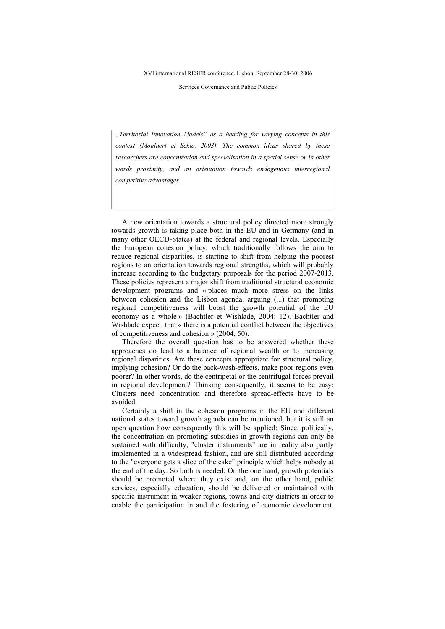Services Governance and Public Policies

"Territorial Innovation Models" as a heading for varying concepts in this context (Moulaert et Sekia, 2003). The common ideas shared by these researchers are concentration and specialisation in a spatial sense or in other words proximity, and an orientation towards endogenous interregional competitive advantages.

A new orientation towards a structural policy directed more strongly towards growth is taking place both in the EU and in Germany (and in many other OECD-States) at the federal and regional levels. Especially the European cohesion policy, which traditionally follows the aim to reduce regional disparities, is starting to shift from helping the poorest regions to an orientation towards regional strengths, which will probably increase according to the budgetary proposals for the period 2007-2013. These policies represent a major shift from traditional structural economic development programs and «places much more stress on the links between cohesion and the Lisbon agenda, arguing (...) that promoting regional competitiveness will boost the growth potential of the EU economy as a whole » (Bachtler et Wishlade, 2004: 12). Bachtler and Wishlade expect, that « there is a potential conflict between the objectives of competitiveness and cohesion »(2004, 50).

Therefore the overall question has to be answered whether these approaches do lead to a balance of regional wealth or to increasing regional disparities. Are these concepts appropriate for structural policy, implying cohesion? Or do the back-wash-effects, make poor regions even poorer? In other words, do the centripetal or the centrifugal forces prevail in regional development? Thinking consequently, it seems to be easy: Clusters need concentration and therefore spread-effects have to be avoided.

Certainly a shift in the cohesion programs in the EU and different national states toward growth agenda can be mentioned, but it is still an open question how consequently this will be applied: Since, politically, the concentration on promoting subsidies in growth regions can only be sustained with difficulty, "cluster instruments" are in reality also partly implemented in a widespread fashion, and are still distributed according to the "everyone gets a slice of the cake" principle which helps nobody at the end of the day. So both is needed: On the one hand, growth potentials should be promoted where they exist and, on the other hand, public services, especially education, should be delivered or maintained with specific instrument in weaker regions, towns and city districts in order to enable the participation in and the fostering of economic development.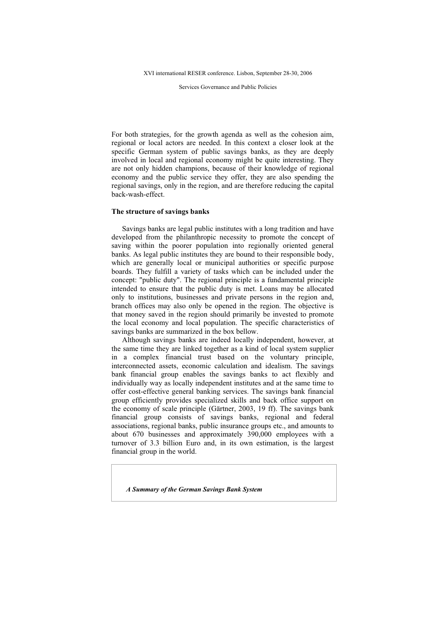Services Governance and Public Policies

For both strategies, for the growth agenda as well as the cohesion aim, regional or local actors are needed. In this context a closer look at the specific German system of public savings banks, as they are deeply involved in local and regional economy might be quite interesting. They are not only hidden champions, because of their knowledge of regional economy and the public service they offer, they are also spending the regional savings, only in the region, and are therefore reducing the capital back-wash-effect.

### The structure of savings banks

Savings banks are legal public institutes with a long tradition and have developed from the philanthropic necessity to promote the concept of saving within the poorer population into regionally oriented general banks. As legal public institutes they are bound to their responsible body, which are generally local or municipal authorities or specific purpose boards. They fulfill a variety of tasks which can be included under the concept: "public duty". The regional principle is a fundamental principle intended to ensure that the public duty is met. Loans may be allocated only to institutions, businesses and private persons in the region and, branch offices may also only be opened in the region. The objective is that money saved in the region should primarily be invested to promote the local economy and local population. The specific characteristics of savings banks are summarized in the box bellow.

Although savings banks are indeed locally independent, however, at the same time they are linked together as a kind of local system supplier in a complex financial trust based on the voluntary principle, interconnected assets, economic calculation and idealism. The savings bank financial group enables the savings banks to act flexibly and individually way as locally independent institutes and at the same time to offer cost-effective general banking services. The savings bank financial group efficiently provides specialized skills and back office support on the economy of scale principle (Gärtner, 2003, 19 ff). The savings bank financial group consists of savings banks, regional and federal associations, regional banks, public insurance groups etc., and amounts to about 670 businesses and approximately 390,000 employees with a turnover of 3.3 billion Euro and, in its own estimation, is the largest financial group in the world.

A Summary of the German Savings Bank System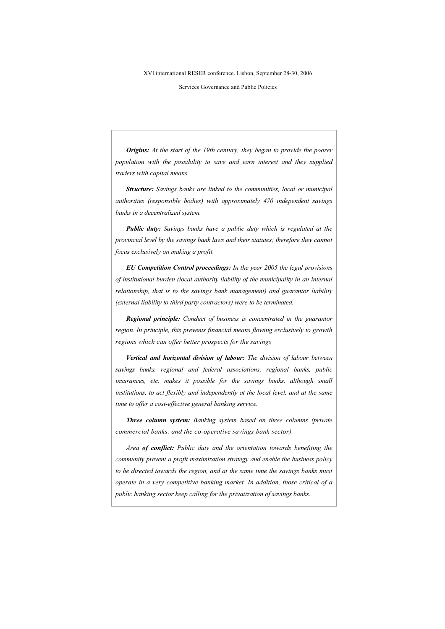Services Governance and Public Policies

Origins: At the start of the 19th century, they began to provide the poorer population with the possibility to save and earn interest and they supplied traders with capital means.

Structure: Savings banks are linked to the communities, local or municipal authorities (responsible bodies) with approximately 470 independent savings banks in a decentralized system.

Public duty: Savings banks have a public duty which is regulated at the provincial level by the savings bank laws and their statutes; therefore they cannot focus exclusively on making a profit.

EU Competition Control proceedings: In the year 2005 the legal provisions of institutional burden (local authority liability of the municipality in an internal relationship, that is to the savings bank management) and guarantor liability (external liability to third party contractors) were to be terminated.

**Regional principle:** Conduct of business is concentrated in the guarantor region. In principle, this prevents financial means flowing exclusively to growth regions which can offer better prospects for the savings

Vertical and horizontal division of labour: The division of labour between savings banks, regional and federal associations, regional banks, public insurances, etc. makes it possible for the savings banks, although small institutions, to act flexibly and independently at the local level, and at the same time to offer a cost-effective general banking service.

Three column system: Banking system based on three columns (private commercial banks, and the co-operative savings bank sector).

Area of conflict: Public duty and the orientation towards benefiting the community prevent a profit maximization strategy and enable the business policy to be directed towards the region, and at the same time the savings banks must operate in a very competitive banking market. In addition, those critical of a public banking sector keep calling for the privatization of savings banks.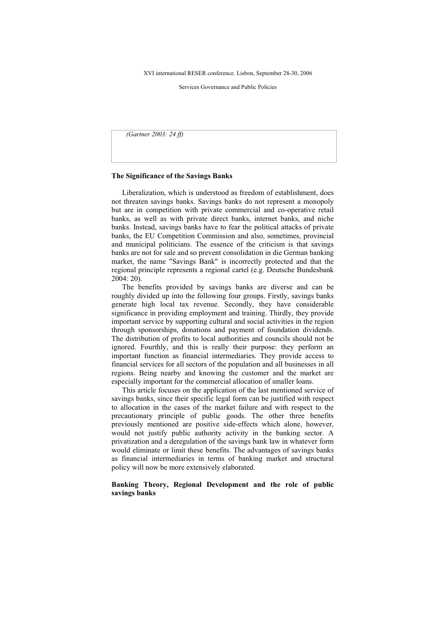Services Governance and Public Policies

(Gartner 2003: 24 ff)

#### The Significance of the Savings Banks

Liberalization, which is understood as freedom of establishment, does not threaten savings banks. Savings banks do not represent a monopoly but are in competition with private commercial and co-operative retail banks, as well as with private direct banks, internet banks, and niche banks. Instead, savings banks have to fear the political attacks of private banks, the EU Competition Commission and also, sometimes, provincial and municipal politicians. The essence of the criticism is that savings banks are not for sale and so prevent consolidation in die German banking market, the name "Savings Bank" is incorrectly protected and that the regional principle represents a regional cartel (e.g. Deutsche Bundesbank 2004: 20).

The benefits provided by savings banks are diverse and can be roughly divided up into the following four groups. Firstly, savings banks generate high local tax revenue. Secondly, they have considerable significance in providing employment and training. Thirdly, they provide important service by supporting cultural and social activities in the region through sponsorships, donations and payment of foundation dividends. The distribution of profits to local authorities and councils should not be ignored. Fourthly, and this is really their purpose: they perform an important function as financial intermediaries. They provide access to financial services for all sectors of the population and all businesses in all regions. Being nearby and knowing the customer and the market are especially important for the commercial allocation of smaller loans.

This article focuses on the application of the last mentioned service of savings banks, since their specific legal form can be justified with respect to allocation in the cases of the market failure and with respect to the precautionary principle of public goods. The other three benefits previously mentioned are positive side-effects which alone, however, would not justify public authority activity in the banking sector. A privatization and a deregulation of the savings bank law in whatever form would eliminate or limit these benefits. The advantages of savings banks as financial intermediaries in terms of banking market and structural policy will now be more extensively elaborated.

## Banking Theory, Regional Development and the role of public savings banks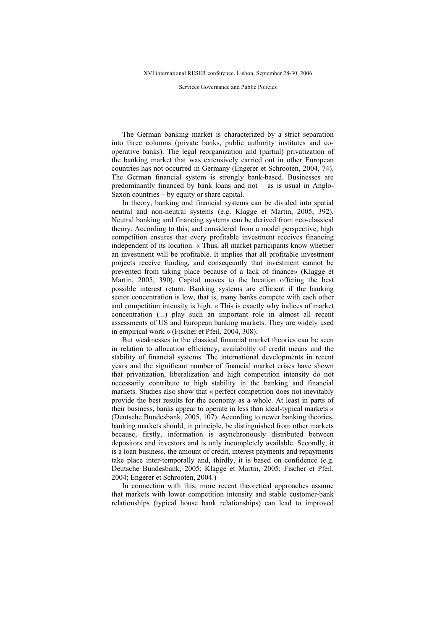Services Governance and Public Policies

The German banking market is characterized by a strict separation into three columns (private banks, public authority institutes and cooperative banks). The legal reorganization and (partial) privatization of the banking market that was extensively carried out in other European countries has not occurred in Germany (Engerer et Schrooten, 2004, 74). The German financial system is strongly bank-based. Businesses are predominantly financed by bank loans and not – as is usual in Anglo-Saxon countries – by equity or share capital.

In theory, banking and financial systems can be divided into spatial neutral and non-neutral systems (e.g. Klagge et Martin, 2005, 392). Neutral banking and financing systems can be derived from neo-classical theory. According to this, and considered from a model perspective, high competition ensures that every profitable investment receives financing independent of its location. « Thus, all market participants know whether an investment will be profitable. It implies that all profitable investment projects receive funding, and conseqeuntly that investment cannot be prevented from taking place because of a lack of finance» (Klagge et Martin, 2005, 390). Capital moves to the location offering the best possible interest return. Banking systems are efficient if the banking sector concentration is low, that is, many banks compete with each other and competition intensity is high. « This is exactly why indices of market concentration (...) play such an important role in almost all recent assessments of US and European banking markets. They are widely used in empirical work » (Fischer et Pfeil, 2004, 308).

But weaknesses in the classical financial market theories can be seen in relation to allocation efficiency, availability of credit means and the stability of financial systems. The international developments in recent years and the significant number of financial market crises have shown that privatization, liberalization and high competition intensity do not necessarily contribute to high stability in the banking and financial markets. Studies also show that « perfect competition does not inevitably provide the best results for the economy as a whole. At least in parts of their business, banks appear to operate in less than ideal-typical markets » (Deutsche Bundesbank, 2005, 107). According to newer banking theories, banking markets should, in principle, be distinguished from other markets because, firstly, information is asynchronously distributed between depositors and investors and is only incompletely available. Secondly, it is a loan business, the amount of credit, interest payments and repayments take place inter-temporally and, thirdly, it is based on confidence (e.g. Deutsche Bundesbank, 2005; Klagge et Martin, 2005; Fischer et Pfeil, 2004; Engerer et Schrooten, 2004.)

In connection with this, more recent theoretical approaches assume that markets with lower competition intensity and stable customer-bank relationships (typical house bank relationships) can lead to improved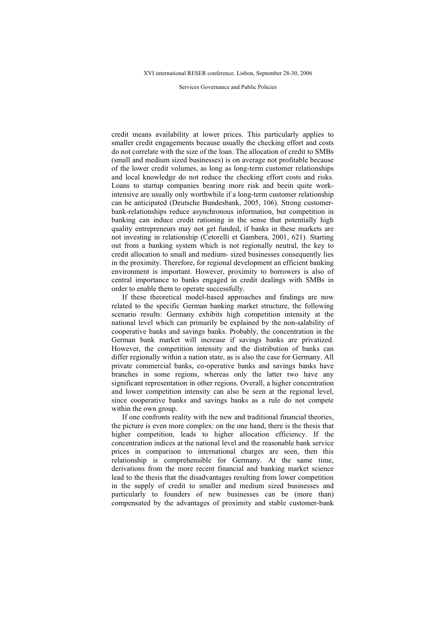Services Governance and Public Policies

credit means availability at lower prices. This particularly applies to smaller credit engagements because usually the checking effort and costs do not correlate with the size of the loan. The allocation of credit to SMBs (small and medium sized businesses) is on average not profitable because of the lower credit volumes, as long as long-term customer relationships and local knowledge do not reduce the checking effort costs and risks. Loans to startup companies bearing more risk and beein quite workintensive are usually only worthwhile if a long-term customer relationship can be anticipated (Deutsche Bundesbank, 2005, 106). Strong customerbank-relationships reduce asynchronous information, but competition in banking can induce credit rationing in the sense that potentially high quality entrepreneurs may not get funded, if banks in these markets are not investing in relationship (Cetorelli et Gambera, 2001, 621). Starting out from a banking system which is not regionally neutral, the key to credit allocation to small and medium- sized businesses consequently lies in the proximity. Therefore, for regional development an efficient banking environment is important. However, proximity to borrowers is also of central importance to banks engaged in credit dealings with SMBs in order to enable them to operate successfully.

If these theoretical model-based approaches and findings are now related to the specific German banking market structure, the following scenario results: Germany exhibits high competition intensity at the national level which can primarily be explained by the non-salability of cooperative banks and savings banks. Probably, the concentration in the German bank market will increase if savings banks are privatized. However, the competition intensity and the distribution of banks can differ regionally within a nation state, as is also the case for Germany. All private commercial banks, co-operative banks and savings banks have branches in some regions, whereas only the latter two have any significant representation in other regions. Overall, a higher concentration and lower competition intensity can also be seen at the regional level, since cooperative banks and savings banks as a rule do not compete within the own group.

If one confronts reality with the new and traditional financial theories, the picture is even more complex: on the one hand, there is the thesis that higher competition, leads to higher allocation efficiency. If the concentration indices at the national level and the reasonable bank service prices in comparison to international charges are seen, then this relationship is comprehensible for Germany. At the same time, derivations from the more recent financial and banking market science lead to the thesis that the disadvantages resulting from lower competition in the supply of credit to smaller and medium sized businesses and particularly to founders of new businesses can be (more than) compensated by the advantages of proximity and stable customer-bank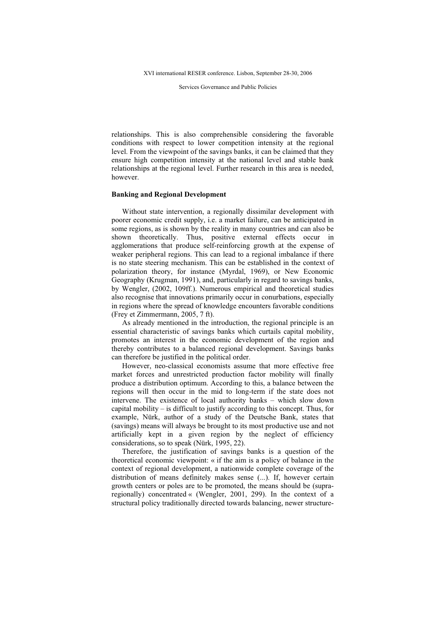Services Governance and Public Policies

relationships. This is also comprehensible considering the favorable conditions with respect to lower competition intensity at the regional level. From the viewpoint of the savings banks, it can be claimed that they ensure high competition intensity at the national level and stable bank relationships at the regional level. Further research in this area is needed, however.

#### Banking and Regional Development

Without state intervention, a regionally dissimilar development with poorer economic credit supply, i.e. a market failure, can be anticipated in some regions, as is shown by the reality in many countries and can also be shown theoretically. Thus, positive external effects occur in agglomerations that produce self-reinforcing growth at the expense of weaker peripheral regions. This can lead to a regional imbalance if there is no state steering mechanism. This can be established in the context of polarization theory, for instance (Myrdal, 1969), or New Economic Geography (Krugman, 1991), and, particularly in regard to savings banks, by Wengler, (2002, 109ff.). Numerous empirical and theoretical studies also recognise that innovations primarily occur in conurbations, especially in regions where the spread of knowledge encounters favorable conditions (Frey et Zimmermann, 2005, 7 ft).

As already mentioned in the introduction, the regional principle is an essential characteristic of savings banks which curtails capital mobility, promotes an interest in the economic development of the region and thereby contributes to a balanced regional development. Savings banks can therefore be justified in the political order.

However, neo-classical economists assume that more effective free market forces and unrestricted production factor mobility will finally produce a distribution optimum. According to this, a balance between the regions will then occur in the mid to long-term if the state does not intervene. The existence of local authority banks – which slow down capital mobility – is difficult to justify according to this concept. Thus, for example, Nürk, author of a study of the Deutsche Bank, states that (savings) means will always be brought to its most productive use and not artificially kept in a given region by the neglect of efficiency considerations, so to speak (Nürk, 1995, 22).

Therefore, the justification of savings banks is a question of the theoretical economic viewpoint: « if the aim is a policy of balance in the context of regional development, a nationwide complete coverage of the distribution of means definitely makes sense (...). If, however certain growth centers or poles are to be promoted, the means should be (supraregionally) concentrated « (Wengler, 2001, 299). In the context of a structural policy traditionally directed towards balancing, newer structure-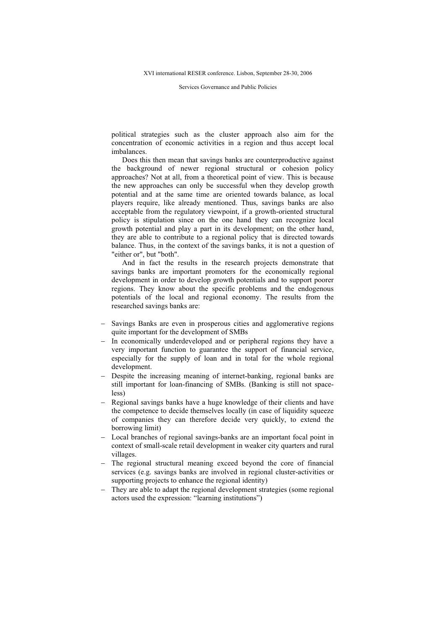Services Governance and Public Policies

political strategies such as the cluster approach also aim for the concentration of economic activities in a region and thus accept local imbalances.

Does this then mean that savings banks are counterproductive against the background of newer regional structural or cohesion policy approaches? Not at all, from a theoretical point of view. This is because the new approaches can only be successful when they develop growth potential and at the same time are oriented towards balance, as local players require, like already mentioned. Thus, savings banks are also acceptable from the regulatory viewpoint, if a growth-oriented structural policy is stipulation since on the one hand they can recognize local growth potential and play a part in its development; on the other hand, they are able to contribute to a regional policy that is directed towards balance. Thus, in the context of the savings banks, it is not a question of "either or", but "both".

And in fact the results in the research projects demonstrate that savings banks are important promoters for the economically regional development in order to develop growth potentials and to support poorer regions. They know about the specific problems and the endogenous potentials of the local and regional economy. The results from the researched savings banks are:

- Savings Banks are even in prosperous cities and agglomerative regions quite important for the development of SMBs
- In economically underdeveloped and or peripheral regions they have a very important function to guarantee the support of financial service, especially for the supply of loan and in total for the whole regional development.
- Despite the increasing meaning of internet-banking, regional banks are still important for loan-financing of SMBs. (Banking is still not spaceless)
- Regional savings banks have a huge knowledge of their clients and have the competence to decide themselves locally (in case of liquidity squeeze of companies they can therefore decide very quickly, to extend the borrowing limit)
- Local branches of regional savings-banks are an important focal point in context of small-scale retail development in weaker city quarters and rural villages.
- The regional structural meaning exceed beyond the core of financial services (e.g. savings banks are involved in regional cluster-activities or supporting projects to enhance the regional identity)
- They are able to adapt the regional development strategies (some regional actors used the expression: "learning institutions")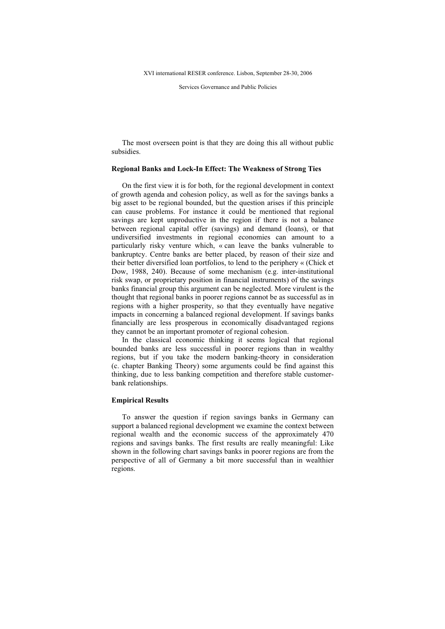Services Governance and Public Policies

The most overseen point is that they are doing this all without public subsidies.

## Regional Banks and Lock-In Effect: The Weakness of Strong Ties

On the first view it is for both, for the regional development in context of growth agenda and cohesion policy, as well as for the savings banks a big asset to be regional bounded, but the question arises if this principle can cause problems. For instance it could be mentioned that regional savings are kept unproductive in the region if there is not a balance between regional capital offer (savings) and demand (loans), or that undiversified investments in regional economies can amount to a particularly risky venture which, « can leave the banks vulnerable to bankruptcy. Centre banks are better placed, by reason of their size and their better diversified loan portfolios, to lend to the periphery « (Chick et Dow, 1988, 240). Because of some mechanism (e.g. inter-institutional risk swap, or proprietary position in financial instruments) of the savings banks financial group this argument can be neglected. More virulent is the thought that regional banks in poorer regions cannot be as successful as in regions with a higher prosperity, so that they eventually have negative impacts in concerning a balanced regional development. If savings banks financially are less prosperous in economically disadvantaged regions they cannot be an important promoter of regional cohesion.

In the classical economic thinking it seems logical that regional bounded banks are less successful in poorer regions than in wealthy regions, but if you take the modern banking-theory in consideration (c. chapter Banking Theory) some arguments could be find against this thinking, due to less banking competition and therefore stable customerbank relationships.

## Empirical Results

To answer the question if region savings banks in Germany can support a balanced regional development we examine the context between regional wealth and the economic success of the approximately 470 regions and savings banks. The first results are really meaningful: Like shown in the following chart savings banks in poorer regions are from the perspective of all of Germany a bit more successful than in wealthier regions.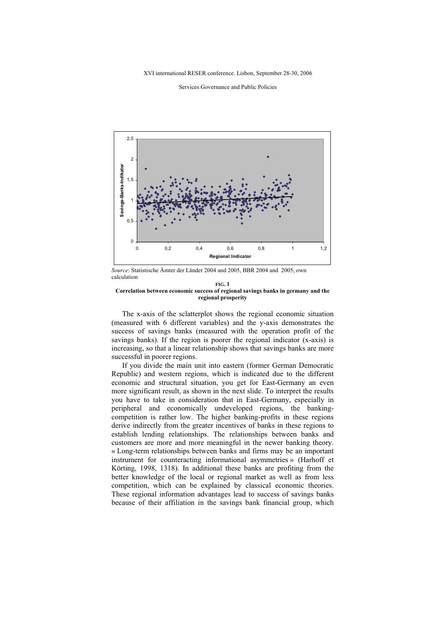XVI international RESER conference. Lisbon, September 28-30, 2006

Services Governance and Public Policies



Source: Statistische Ämter der Länder 2004 and 2005, BBR 2004 and 2005, own calculation

#### FIG. 1 Correlation between economic success of regional savings banks in germany and the regional prosperity

The x-axis of the sclatterplot shows the regional economic situation (measured with 6 different variables) and the y-axis demonstrates the success of savings banks (measured with the operation profit of the savings banks). If the region is poorer the regional indicator (x-axis) is increasing, so that a linear relationship shows that savings banks are more successful in poorer regions.

If you divide the main unit into eastern (former German Democratic Republic) and western regions, which is indicated due to the different economic and structural situation, you get for East-Germany an even more significant result, as shown in the next slide. To interpret the results you have to take in consideration that in East-Germany, especially in peripheral and economically undeveloped regions, the bankingcompetition is rather low. The higher banking-profits in these regions derive indirectly from the greater incentives of banks in these regions to establish lending relationships. The relationships between banks and customers are more and more meaningful in the newer banking theory. « Long-term relationships between banks and firms may be an important instrument for counteracting informational asymmetries » (Harhoff et Körting, 1998, 1318). In additional these banks are profiting from the better knowledge of the local or regional market as well as from less competition, which can be explained by classical economic theories. These regional information advantages lead to success of savings banks because of their affiliation in the savings bank financial group, which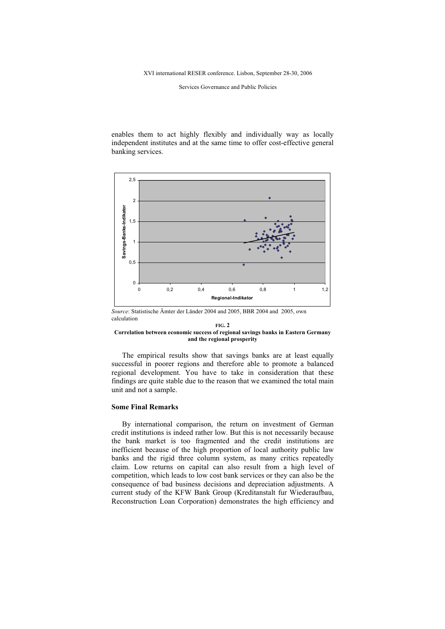Services Governance and Public Policies

enables them to act highly flexibly and individually way as locally independent institutes and at the same time to offer cost-effective general banking services.



Source: Statistische Ämter der Länder 2004 and 2005, BBR 2004 and 2005, own calculation

#### FIG. 2 Correlation between economic success of regional savings banks in Eastern Germany and the regional prosperity

The empirical results show that savings banks are at least equally successful in poorer regions and therefore able to promote a balanced regional development. You have to take in consideration that these findings are quite stable due to the reason that we examined the total main unit and not a sample.

## Some Final Remarks

By international comparison, the return on investment of German credit institutions is indeed rather low. But this is not necessarily because the bank market is too fragmented and the credit institutions are inefficient because of the high proportion of local authority public law banks and the rigid three column system, as many critics repeatedly claim. Low returns on capital can also result from a high level of competition, which leads to low cost bank services or they can also be the consequence of bad business decisions and depreciation adjustments. A current study of the KFW Bank Group (Kreditanstalt fur Wiederaufbau, Reconstruction Loan Corporation) demonstrates the high efficiency and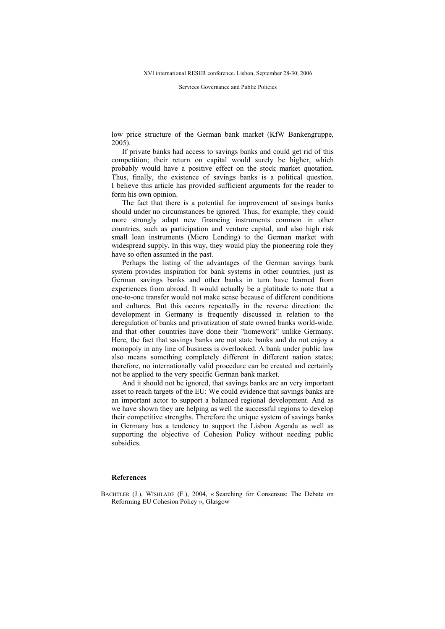Services Governance and Public Policies

low price structure of the German bank market (KfW Bankengruppe, 2005).

If private banks had access to savings banks and could get rid of this competition; their return on capital would surely be higher, which probably would have a positive effect on the stock market quotation. Thus, finally, the existence of savings banks is a political question. I believe this article has provided sufficient arguments for the reader to form his own opinion.

The fact that there is a potential for improvement of savings banks should under no circumstances be ignored. Thus, for example, they could more strongly adapt new financing instruments common in other countries, such as participation and venture capital, and also high risk small loan instruments (Micro Lending) to the German market with widespread supply. In this way, they would play the pioneering role they have so often assumed in the past.

Perhaps the listing of the advantages of the German savings bank system provides inspiration for bank systems in other countries, just as German savings banks and other banks in turn have learned from experiences from abroad. It would actually be a platitude to note that a one-to-one transfer would not make sense because of different conditions and cultures. But this occurs repeatedly in the reverse direction: the development in Germany is frequently discussed in relation to the deregulation of banks and privatization of state owned banks world-wide, and that other countries have done their "homework" unlike Germany. Here, the fact that savings banks are not state banks and do not enjoy a monopoly in any line of business is overlooked. A bank under public law also means something completely different in different nation states; therefore, no internationally valid procedure can be created and certainly not be applied to the very specific German bank market.

And it should not be ignored, that savings banks are an very important asset to reach targets of the EU: We could evidence that savings banks are an important actor to support a balanced regional development. And as we have shown they are helping as well the successful regions to develop their competitive strengths. Therefore the unique system of savings banks in Germany has a tendency to support the Lisbon Agenda as well as supporting the objective of Cohesion Policy without needing public subsidies.

### References

BACHTLER (J.), WISHLADE (F.), 2004, « Searching for Consensus: The Debate on Reforming EU Cohesion Policy », Glasgow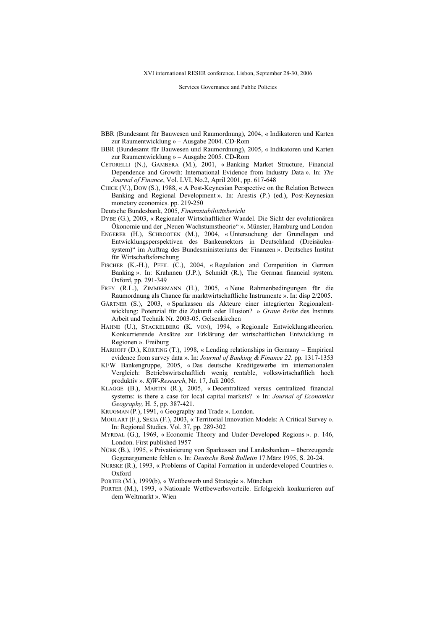Services Governance and Public Policies

- BBR (Bundesamt für Bauwesen und Raumordnung), 2004, « Indikatoren und Karten zur Raumentwicklung » – Ausgabe 2004. CD-Rom
- BBR (Bundesamt für Bauwesen und Raumordnung), 2005, « Indikatoren und Karten zur Raumentwicklung » – Ausgabe 2005. CD-Rom
- CETORELLI (N.), GAMBERA (M.), 2001, « Banking Market Structure, Financial Dependence and Growth: International Evidence from Industry Data ». In: The Journal of Finance, Vol. LVI, No.2, April 2001, pp. 617-648
- CHICK (V.), DOW (S.), 1988, « A Post-Keynesian Perspective on the Relation Between Banking and Regional Development ». In: Arestis (P.) (ed.), Post-Keynesian monetary economics. pp. 219-250
- Deutsche Bundesbank, 2005, Finanzstabilitätsbericht
- DYBE (G.), 2003, « Regionaler Wirtschaftlicher Wandel. Die Sicht der evolutionären Ökonomie und der "Neuen Wachstumstheorie" ». Münster, Hamburg und London
- ENGERER (H.), SCHROOTEN (M.), 2004, « Untersuchung der Grundlagen und Entwicklungsperspektiven des Bankensektors in Deutschland (Dreisäulensystem)" im Auftrag des Bundesministeriums der Finanzen ». Deutsches Institut für Wirtschaftsforschung
- FISCHER (K.-H.), PFEIL (C.), 2004, « Regulation and Competition in German Banking ». In: Krahnnen (J.P.), Schmidt (R.), The German financial system. Oxford, pp. 291-349
- FREY (R.L.), ZIMMERMANN (H.), 2005, « Neue Rahmenbedingungen für die Raumordnung als Chance für marktwirtschaftliche Instrumente ». In: disp 2/2005.
- GÄRTNER (S.), 2003, « Sparkassen als Akteure einer integrierten Regionalentwicklung: Potenzial für die Zukunft oder Illusion? » Graue Reihe des Instituts Arbeit und Technik Nr. 2003-05. Gelsenkirchen
- HAHNE (U.), STACKELBERG (K. VON), 1994, « Regionale Entwicklungstheorien. Konkurrierende Ansätze zur Erklärung der wirtschaftlichen Entwicklung in Regionen ». Freiburg
- HARHOFF (D.), KÖRTING (T.), 1998, « Lending relationships in Germany Empirical evidence from survey data ». In: Journal of Banking & Finance 22. pp. 1317-1353
- KFW Bankengruppe, 2005, « Das deutsche Kreditgewerbe im internationalen Vergleich: Betriebswirtschaftlich wenig rentable, volkswirtschaftlich hoch produktiv ». KfW-Research, Nr. 17, Juli 2005.
- KLAGGE (B.), MARTIN (R.), 2005, « Decentralized versus centralized financial systems: is there a case for local capital markets? » In: Journal of Economics Geography, H. 5, pp. 387-421.
- KRUGMAN (P.), 1991, « Geography and Trade ». London.
- MOULART (F.), SEKIA (F.), 2003, « Territorial Innovation Models: A Critical Survey ». In: Regional Studies. Vol. 37, pp. 289-302
- MYRDAL (G.), 1969, « Economic Theory and Under-Developed Regions ». p. 146, London. First published 1957
- NÜRK (B.), 1995, « Privatisierung von Sparkassen und Landesbanken überzeugende Gegenargumente fehlen ». In: Deutsche Bank Bulletin 17.März 1995, S. 20-24.
- NURSKE (R.), 1993, « Problems of Capital Formation in underdeveloped Countries ». Oxford
- PORTER (M.), 1999(b), « Wettbewerb und Strategie ». München
- PORTER (M.), 1993, « Nationale Wettbewerbsvorteile. Erfolgreich konkurrieren auf dem Weltmarkt ». Wien